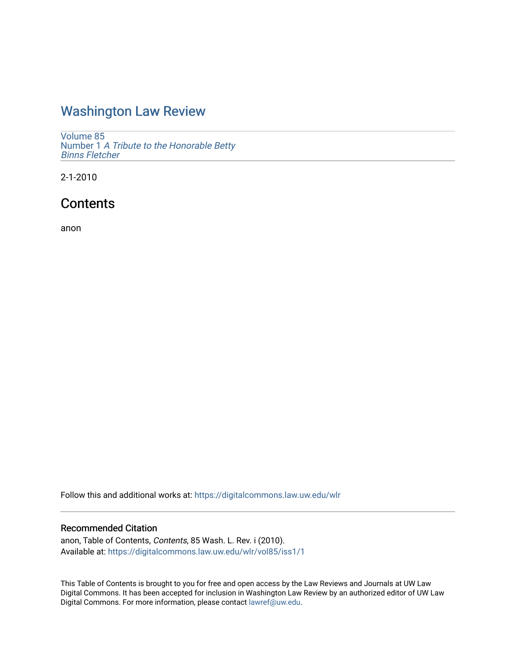### [Washington Law Review](https://digitalcommons.law.uw.edu/wlr)

[Volume 85](https://digitalcommons.law.uw.edu/wlr/vol85) Number 1 [A Tribute to the Honorable Betty](https://digitalcommons.law.uw.edu/wlr/vol85/iss1)  [Binns Fletcher](https://digitalcommons.law.uw.edu/wlr/vol85/iss1) 

2-1-2010

## **Contents**

anon

Follow this and additional works at: [https://digitalcommons.law.uw.edu/wlr](https://digitalcommons.law.uw.edu/wlr?utm_source=digitalcommons.law.uw.edu%2Fwlr%2Fvol85%2Fiss1%2F1&utm_medium=PDF&utm_campaign=PDFCoverPages)

#### Recommended Citation

anon, Table of Contents, Contents, 85 Wash. L. Rev. i (2010). Available at: [https://digitalcommons.law.uw.edu/wlr/vol85/iss1/1](https://digitalcommons.law.uw.edu/wlr/vol85/iss1/1?utm_source=digitalcommons.law.uw.edu%2Fwlr%2Fvol85%2Fiss1%2F1&utm_medium=PDF&utm_campaign=PDFCoverPages)

This Table of Contents is brought to you for free and open access by the Law Reviews and Journals at UW Law Digital Commons. It has been accepted for inclusion in Washington Law Review by an authorized editor of UW Law Digital Commons. For more information, please contact [lawref@uw.edu.](mailto:lawref@uw.edu)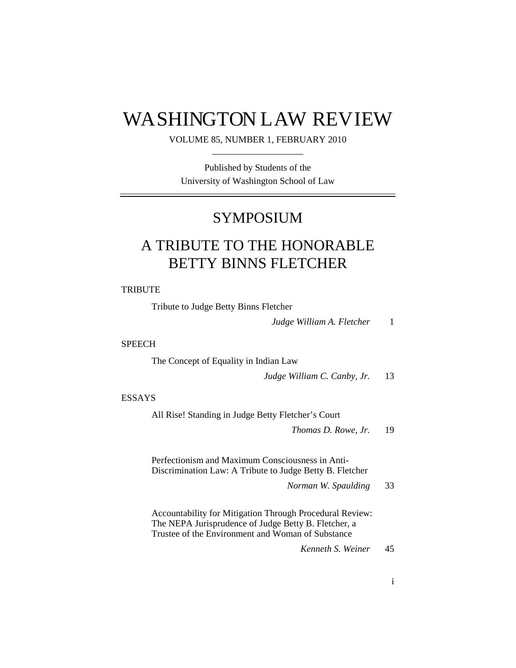# WASHINGTON LAW REVIEW

#### VOLUME 85, NUMBER 1, FEBRUARY 2010

Published by Students of the University of Washington School of Law

## SYMPOSIUM

# A TRIBUTE TO THE HONORABLE BETTY BINNS FLETCHER

#### **TRIBUTE**

| Tribute to Judge Betty Binns Fletcher                                                                                                                                 |              |
|-----------------------------------------------------------------------------------------------------------------------------------------------------------------------|--------------|
| Judge William A. Fletcher                                                                                                                                             | $\mathbf{1}$ |
| <b>SPEECH</b>                                                                                                                                                         |              |
| The Concept of Equality in Indian Law                                                                                                                                 |              |
| Judge William C. Canby, Jr.                                                                                                                                           | 13           |
| <b>ESSAYS</b>                                                                                                                                                         |              |
| All Rise! Standing in Judge Betty Fletcher's Court                                                                                                                    |              |
| Thomas D. Rowe, Jr.                                                                                                                                                   | 19           |
| Perfectionism and Maximum Consciousness in Anti-<br>Discrimination Law: A Tribute to Judge Betty B. Fletcher<br>Norman W. Spaulding                                   | 33           |
| Accountability for Mitigation Through Procedural Review:<br>The NEPA Jurisprudence of Judge Betty B. Fletcher, a<br>Trustee of the Environment and Woman of Substance |              |
| Kenneth S. Weiner                                                                                                                                                     | 45           |
|                                                                                                                                                                       |              |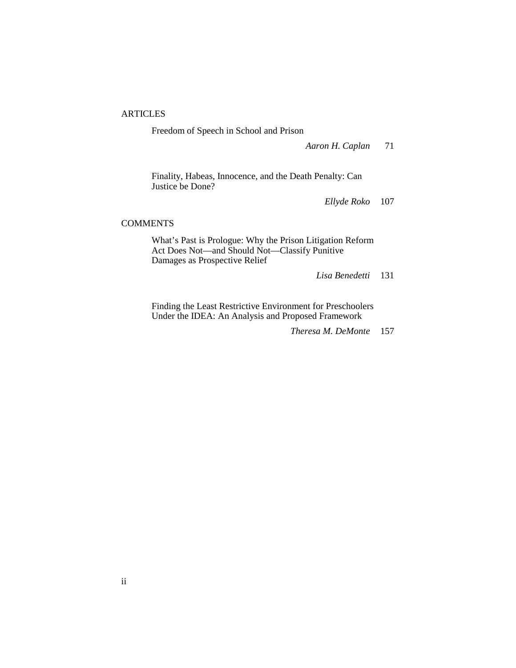#### **ARTICLES**

Freedom of Speech in School and Prison

*Aaron H. Caplan* 71

Finality, Habeas, Innocence, and the Death Penalty: Can Justice be Done?

*Ellyde Roko* 107

#### COMMENTS

What's Past is Prologue: Why the Prison Litigation Reform Act Does Not—and Should Not—Classify Punitive Damages as Prospective Relief

*Lisa Benedetti* 131

Finding the Least Restrictive Environment for Preschoolers Under the IDEA: An Analysis and Proposed Framework

*Theresa M. DeMonte* 157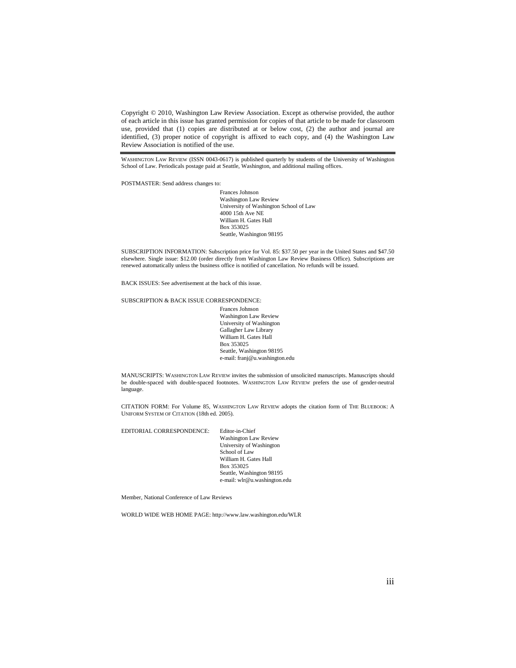Copyright © 2010, Washington Law Review Association. Except as otherwise provided, the author of each article in this issue has granted permission for copies of that article to be made for classroom use, provided that (1) copies are distributed at or below cost, (2) the author and journal are identified, (3) proper notice of copyright is affixed to each copy, and (4) the Washington Law Review Association is notified of the use.

WASHINGTON LAW REVIEW (ISSN 0043-0617) is published quarterly by students of the University of Washington School of Law. Periodicals postage paid at Seattle, Washington, and additional mailing offices.

POSTMASTER: Send address changes to:

Frances Johnson Washington Law Review University of Washington School of Law 4000 15th Ave NE William H. Gates Hall Box 353025 Seattle, Washington 98195

SUBSCRIPTION INFORMATION: Subscription price for Vol. 85: \$37.50 per year in the United States and \$47.50 elsewhere. Single issue: \$12.00 (order directly from Washington Law Review Business Office). Subscriptions are renewed automatically unless the business office is notified of cancellation. No refunds will be issued.

BACK ISSUES: See advertisement at the back of this issue.

SUBSCRIPTION & BACK ISSUE CORRESPONDENCE:

Frances Johnson Washington Law Review University of Washington Gallagher Law Library William H. Gates Hall Box 353025 Seattle, Washington 98195 e-mail: franj@u.washington.edu

MANUSCRIPTS: WASHINGTON LAW REVIEW invites the submission of unsolicited manuscripts. Manuscripts should be double-spaced with double-spaced footnotes. WASHINGTON LAW REVIEW prefers the use of gender-neutral language.

CITATION FORM: For Volume 85, WASHINGTON LAW REVIEW adopts the citation form of THE BLUEBOOK: A UNIFORM SYSTEM OF CITATION (18th ed. 2005).

EDITORIAL CORRESPONDENCE: Editor-in-Chief

Washington Law Review University of Washington School of Law William H. Gates Hall Box 353025 Seattle, Washington 98195 e-mail: wlr@u.washington.edu

Member, National Conference of Law Reviews

WORLD WIDE WEB HOME PAGE: http://www.law.washington.edu/WLR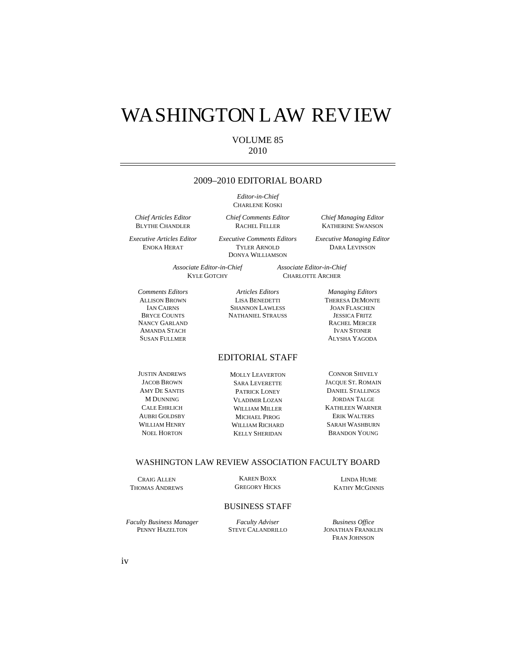# WASHINGTON LAW REVIEW

#### VOLUME 85 2010

#### 2009–2010 EDITORIAL BOARD

*Editor-in-Chief* CHARLENE KOSKI

*Chief Comments Editor*  RACHEL FELLER

*Chief Articles Editor* BLYTHE CHANDLER

*Executive Articles Editor* ENOKA HERAT

*Executive Comments Editors* TYLER ARNOLD DONYA WILLIAMSON

*Associate Editor-in-Chief*  KYLE GOTCHY

*Comments Editors* ALLISON BROWN IAN CAIRNS BRYCE COUNTS NANCY GARLAND AMANDA STACH SUSAN FULLMER

*Articles Editors*  LISA BENEDETTI SHANNON LAWLESS NATHANIEL STRAUSS

EDITORIAL STAFF

JUSTIN ANDREWS JACOB BROWN AMY DE SANTIS M DUNNING CALE EHRLICH AUBRI GOLDSBY WILLIAM HENRY NOEL HORTON

MOLLY LEAVERTON SARA LEVERETTE PATRICK LONEY VLADIMIR LOZAN WILLIAM MILLER MICHAEL PIROG WILLIAM RICHARD KELLY SHERIDAN

CONNOR SHIVELY JACQUE ST. ROMAIN DANIEL STALLINGS JORDAN TALGE KATHLEEN WARNER ERIK WALTERS SARAH WASHBURN BRANDON YOUNG

#### WASHINGTON LAW REVIEW ASSOCIATION FACULTY BOARD

CRAIG ALLEN THOMAS ANDREWS

KAREN BOXX GREGORY HICKS

#### BUSINESS STAFF

*Faculty Business Manager*  PENNY HAZELTON

*Faculty Adviser*  STEVE CALANDRILLO

*Business Office*  JONATHAN FRANKLIN FRAN JOHNSON

LINDA HUME KATHY MCGINNIS

*Chief Managing Editor* KATHERINE SWANSON

*Executive Managing Editor* DARA LEVINSON

*Associate Editor-in-Chief* CHARLOTTE ARCHER

> *Managing Editors*  THERESA DEMONTE JOAN FLASCHEN JESSICA FRITZ RACHEL MERCER IVAN STONER ALYSHA YAGODA

iv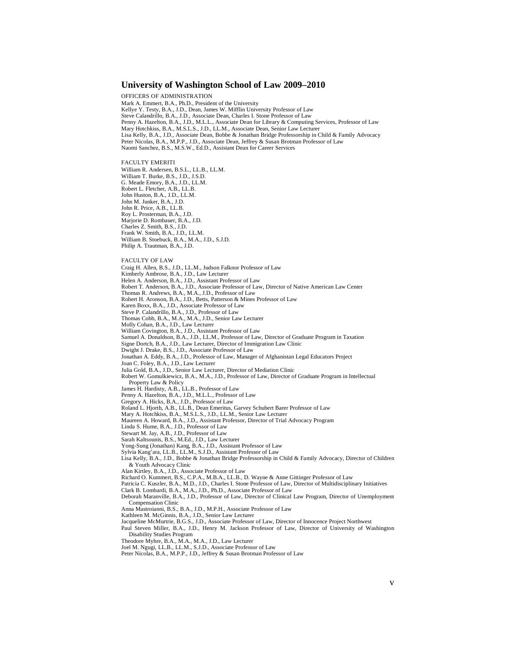#### **University of Washington School of Law 2009–2010**

OFFICERS OF ADMINISTRATION Mark A. Emmert, B.A., Ph.D., President of the University Kellye Y. Testy, B.A., J.D., Dean, James W. Mifflin University Professor of Law Steve Calandrillo, B.A., J.D., Associate Dean, Charles I. Stone Professor of Law Penny A. Hazelton, B.A., J.D., M.L.L., Associate Dean for Library & Computing Services, Professor of Law Mary Hotchkiss, B.A., M.S.L.S., J.D., LL.M., Associate Dean, Senior Law Lecturer Lisa Kelly, B.A., J.D., Associate Dean, Bobbe & Jonathan Bridge Professorship in Child & Family Advocacy Peter Nicolas, B.A., M.P.P., J.D., Associate Dean, Jeffrey & Susan Brotman Professor of Law Naomi Sanchez, B.S., M.S.W., Ed.D., Assistant Dean for Career Services

#### FACULTY EMERITI

William R. Andersen, B.S.L., LL.B., LL.M. William T. Burke, B.S., J.D., J.S.D. G. Meade Emory, B.A., J.D., LL.M. Robert L. Fletcher, A.B., LL.B. John Huston, B.A., J.D., LL.M. John M. Junker, B.A., J.D. John R. Price, A.B., LL.B. Roy L. Prosterman, B.A., J.D. Marjorie D. Rombauer, B.A., J.D. Charles Z. Smith, B.S., J.D. Frank W. Smith, B.A., J.D., LL.M. William B. Stoebuck, B.A., M.A., J.D., S.J.D. Philip A. Trautman, B.A., J.D.

FACULTY OF LAW

Craig H. Allen, B.S., J.D., LL.M., Judson Falknor Professor of Law

Kimberly Ambrose, B.A., J.D., Law Lecturer Helen A. Anderson, B.A., J.D., Assistant Professor of Law

Robert T. Anderson, B.A., J.D., Associate Professor of Law, Director of Native American Law Center

Thomas R. Andrews, B.A., M.A., J.D., Professor of Law

Robert H. Aronson, B.A., J.D., Betts, Patterson & Mines Professor of Law

Karen Boxx, B.A., J.D., Associate Professor of Law

Steve P. Calandrillo, B.A., J.D., Professor of Law Thomas Cobb, B.A., M.A., M.A., J.D., Senior Law Lecturer

Molly Cohan, B.A., J.D., Law Lecturer

William Covington, B.A., J.D., Assistant Professor of Law

Samuel A. Donaldson, B.A., J.D., LL.M., Professor of Law, Director of Graduate Program in Taxation

Signe Dortch, B.A., J.D., Law Lecturer, Director of Immigration Law Clinic

Dwight J. Drake, B.S., J.D., Associate Professor of Law

Jonathan A. Eddy, B.A., J.D., Professor of Law, Manager of Afghanistan Legal Educators Project

Joan C. Foley, B.A., J.D., Law Lecturer

Julia Gold, B.A., J.D., Senior Law Lecturer, Director of Mediation Clinic

Robert W. Gomulkiewicz, B.A., M.A., J.D., Professor of Law, Director of Graduate Program in Intellectual Property Law & Policy

James H. Hardisty, A.B., LL.B., Professor of Law

Penny A. Hazelton, B.A., J.D., M.L.L., Professor of Law Gregory A. Hicks, B.A., J.D., Professor of Law

Roland L. Hjorth, A.B., LL.B., Dean Emeritus, Garvey Schubert Barer Professor of Law

Mary A. Hotchkiss, B.A., M.S.L.S., J.D., LL.M., Senior Law Lecturer Maureen A. Howard, B.A., J.D., Assistant Professor, Director of Trial Advocacy Program

Linda S. Hume, B.A., J.D., Professor of Law

Stewart M. Jay, A.B., J.D., Professor of Law

Sarah Kaltsounis, B.S., M.Ed., J.D., Law Lecturer

Yong-Sung (Jonathan) Kang, B.A., J.D., Assistant Professor of Law

Sylvia Kang'ara, LL.B., LL.M., S.J.D., Assistant Professor of Law

Lisa Kelly, B.A., J.D., Bobbe & Jonathan Bridge Professorship in Child & Family Advocacy, Director of Children & Youth Advocacy Clinic

Alan Kirtley, B.A., J.D., Associate Professor of Law

Richard O. Kummert, B.S., C.P.A., M.B.A., LL.B., D. Wayne & Anne Gittinger Professor of Law<br>Patricia C. Kuszler, B.A., M.D., J.D., Charles I. Stone Professor of Law, Director of Multidisciplinary Initiatives

Clark B. Lombardi, B.A., M.A., J.D., Ph.D., Associate Professor of Law

Deborah Maranville, B.A., J.D., Professor of Law, Director of Clinical Law Program, Director of Unemployment Compensation Clinic

Anna Mastroianni, B.S., B.A., J.D., M.P.H., Associate Professor of Law

Kathleen M. McGinnis, B.A., J.D., Senior Law Lecturer

Jacqueline McMurtrie, B.G.S., J.D., Associate Professor of Law, Director of Innocence Project Northwest

Paul Steven Miller, B.A., J.D., Henry M. Jackson Professor of Law, Director of University of Washington Disability Studies Program

Theodore Myhre, B.A., M.A., M.A., J.D., Law Lecturer

Joel M. Ngugi, LL.B., LL.M., S.J.D., Associate Professor of Law

Peter Nicolas, B.A., M.P.P., J.D., Jeffrey & Susan Brotman Professor of Law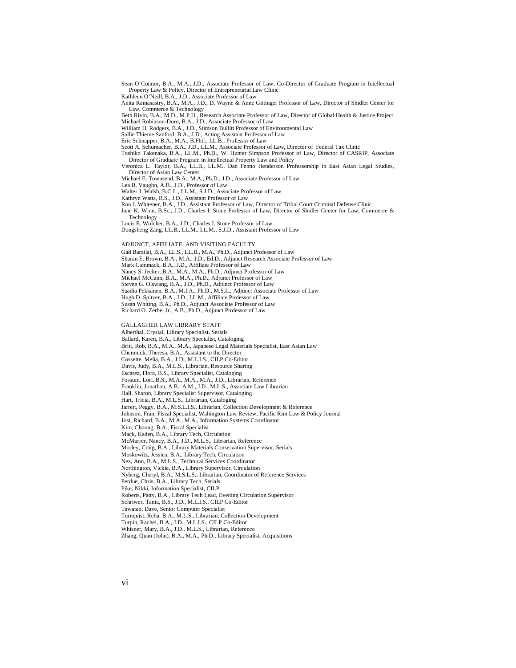Sean O'Connor, B.A., M.A., J.D., Associate Professor of Law, Co-Director of Graduate Program in Intellectual Property Law & Policy, Director of Entrepreneurial Law Clinic

Kathleen O'Neill, B.A., J.D., Associate Professor of Law

Anita Ramasastry, B.A., M.A., J.D., D. Wayne & Anne Gittinger Professor of Law, Director of Shidler Center for Law, Commerce & Technology

Beth Rivin, B.A., M.D., M.P.H., Research Associate Professor of Law, Director of Global Health & Justice Project Michael Robinson-Dorn, B.A., J.D., Associate Professor of Law

William H. Rodgers, B.A., J.D., Stimson Bullitt Professor of Environmental Law

Sallie Thieme Sanford, B.A., J.D., Acting Assistant Professor of Law

Eric Schnapper, B.A., M.A., B.Phil., LL.B., Professor of Law

Scott A. Schumacher, B.A., J.D., LL.M., Associate Professor of Law, Director of Federal Tax Clinic

Toshiko Takenaka, B.A., LL.M., Ph.D., W. Hunter Simpson Professor of Law, Director of CASRIP, Associate Director of Graduate Program in Intellectual Property Law and Policy

Veronica L. Taylor, B.A., LL.B., LL.M., Dan Fenno Henderson Professorship in East Asian Legal Studies, Director of Asian Law Center Michael E. Townsend, B.A., M.A., Ph.D., J.D., Associate Professor of Law

Lea B. Vaughn, A.B., J.D., Professor of Law

Walter J. Walsh, B.C.L., LL.M., S.J.D., Associate Professor of Law

Kathryn Watts, B.S., J.D., Assistant Professor of Law

Ron J. Whitener, B.A., J.D., Assistant Professor of Law, Director of Tribal Court Criminal Defense Clinic

Jane K. Winn, B.Sc., J.D., Charles I. Stone Professor of Law, Director of Shidler Center for Law, Commerce & **Technology** 

Louis E. Wolcher, B.A., J.D., Charles I. Stone Professor of Law Dongsheng Zang, LL.B., LL.M., LL.M., S.J.D., Assistant Professor of Law

ADJUNCT, AFFILIATE, AND VISITING FACULTY

Gad Barzilai, B.A., LL.S., LL.B., M.A., Ph.D., Adjunct Professor of Law

Sharan E. Brown, B.A., M.A., J.D., Ed.D., Adjunct Research Associate Professor of Law

Mark Cammack, B.A., J.D., Affiliate Professor of Law

Nancy S. Jecker, B.A., M.A., M.A., Ph.D., Adjunct Professor of Law

Michael McCann, B.A., M.A., Ph.D., Adjunct Professor of Law

Steven G. Olswang, B.A., J.D., Ph.D., Adjunct Professor of Law

Saadia Pekkanen, B.A., M.I.A., Ph.D., M.S.L., Adjunct Associate Professor of Law

Hugh D. Spitzer, B.A., J.D., LL.M., Affiliate Professor of Law

Susan Whiting, B.A., Ph.D., Adjunct Associate Professor of Law Richard O. Zerbe, Jr., A.B., Ph.D., Adjunct Professor of Law GALLAGHER LAW LIBRARY STAFF Alberthal, Crystal, Library Specialist, Serials Ballard, Karen, B.A., Library Specialist, Cataloging Britt, Rob, B.A., M.A., M.A., Japanese Legal Materials Specialist, East Asian Law Chemnick, Theresa, B.A., Assistant to the Director Cossette, Melia, B.A., J.D., M.L.I.S., CILP Co-Editor Davis, Judy, B.A., M.L.S., Librarian, Resource Sharing Escarez, Flora, B.S., Library Specialist, Cataloging Fossum, Lori, B.S., M.A., M.A., M.A., J.D., Librarian, Reference Franklin, Jonathan, A.B., A.M., J.D., M.L.S., Associate Law Librarian Hall, Sharon, Library Specialist Supervisor, Cataloging Hart, Tricia, B.A., M.L.S., Librarian, Cataloging Jarrett, Peggy, B.A., M.S.L.I.S., Librarian, Collection Development & Reference Johnson, Fran, Fiscal Specialist, Wahington Law Review, Pacific Rim Law & Policy Journal Jost, Richard, B.A., M.A., M.A., Information Systems Coordinator Kim, Choong, B.A., Fiscal Specialist Mack, Kaden, B.A., Library Tech, Circulation McMurrer, Nancy, B.A., J.D., M.L.S., Librarian, Reference Morley, Craig, B.A., Library Materials Conservation Supervisor, Serials Moskowitz, Jessica, B.A., Library Tech, Circulation Nez, Ann, B.A., M.L.S., Technical Services Coordinator Northington, Vickie, B.A., Library Supervisor, Circulation Nyberg, Cheryl, B.A., M.S.L.S., Librarian, Coordinator of Reference Services Perdue, Chris, B.A., Library Tech, Serials Pike, Nikki, Information Specialist, CILP Roberts, Patty, B.A., Library Tech Lead, Evening Circulation Supervisor

Schriwer, Tania, B.S., J.D., M.L.I.S., CILP Co-Editor

Tawatao, Dave, Senior Computer Specialist

Turnquist, Reba, B.A., M.L.S., Librarian, Collection Development

Turpin, Rachel, B.A., J.D., M.L.I.S., CILP Co-Editor

Whisner, Mary, B.A., J.D., M.L.S., Librarian, Reference Zhang, Quan (John), B.A., M.A., Ph.D., Library Specialist, Acquisitions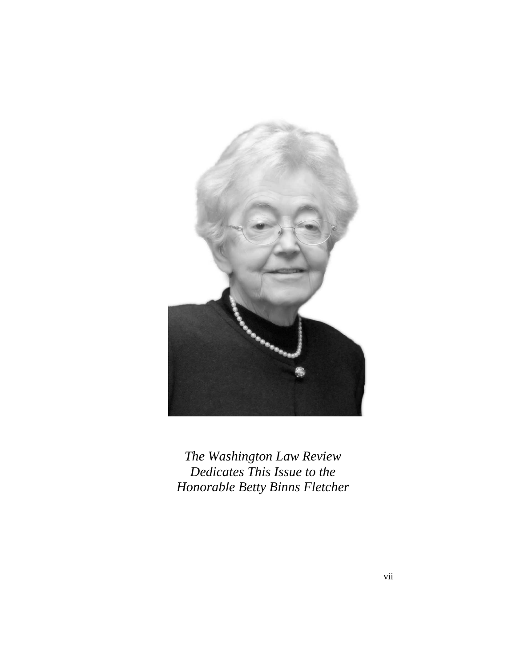

*The Washington Law Review Dedicates This Issue to the Honorable Betty Binns Fletcher*